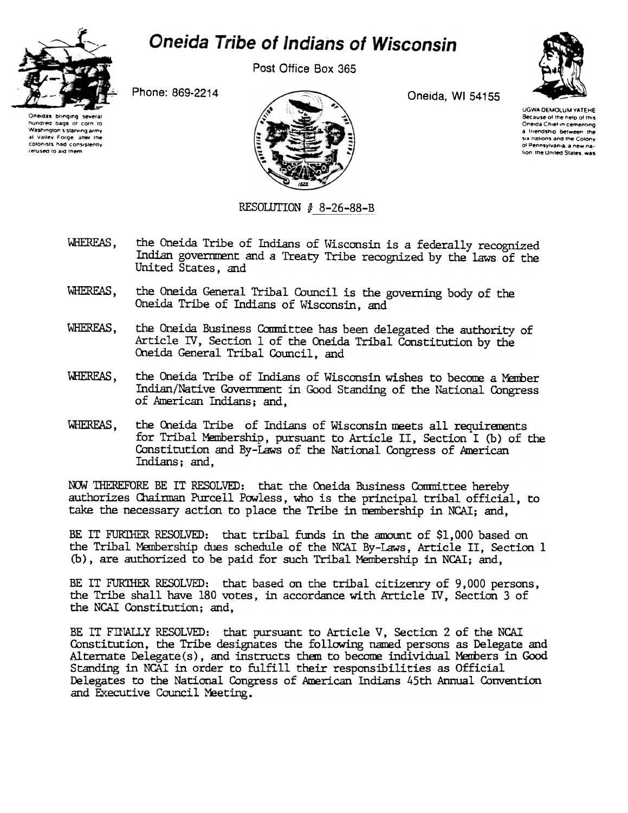

## **Oneida Tribe of Indians of Wisconsin**

Post Office Box 365

Phone: 869-2214





Oneida, WI 54155

UGWA DEMOLUM YATEHE Because of the help of this Oneida Chief in cementing a friendship between the six nations and the Colony ol Pennsylvania, a new nation, the United States, was

RESOLUTION  $#$  8-26-88-B

- WHEREAS. the Oneida Tribe of Indians of Wisconsin is a federally recognized Indian government and a Treaty Tribe recognized by the laws of the United States, and
- WHEREAS, the Oneida General Tribal Council is the governing body of the Oneida Tribe of Indians of Wisconsin, and
- WHEREAS. the Oneida Business Committee has been delegated the authority of Article IV, Section 1 of the Oneida Tribal Constitution by the Oneida General Tribal Council, and
- WHEREAS. the Oneida Tribe of Indians of Wisconsin wishes to become a Member Indian/Native Government in Good Standing of the National Congress of American Indians; and,
- the Oneida Tribe of Indians of Wisconsin meets all requirements WHEREAS. for Tribal Membership, pursuant to Article II, Section I (b) of the Constitution and By-Laws of the National Congress of American Indians; and.

NOW THEREFORE BE IT RESOLVED: that the Oneida Business Committee hereby authorizes Chairman Purcell Powless, who is the principal tribal official, to take the necessary action to place the Tribe in membership in NCAI; and,

BE IT FURTHER RESOLVED: that tribal funds in the amount of \$1,000 based on the Tribal Membership dues schedule of the NCAI By-Laws, Article II, Section 1 (b), are authorized to be paid for such Tribal Membership in NCAI; and,

BE IT FURTHER RESOLVED: that based on the tribal citizenry of 9,000 persons, the Tribe shall have 180 votes, in accordance with Article IV, Section 3 of the NCAI Constitution; and,

BE IT FINALLY RESOLVED: that pursuant to Article V, Section 2 of the NCAI Constitution, the Tribe designates the following named persons as Delegate and Alternate Delegate(s), and instructs them to become individual Members in Good Standing in NCAI in order to fulfill their responsibilities as Official Delegates to the National Congress of American Indians 45th Annual Convention and Executive Council Meeting.